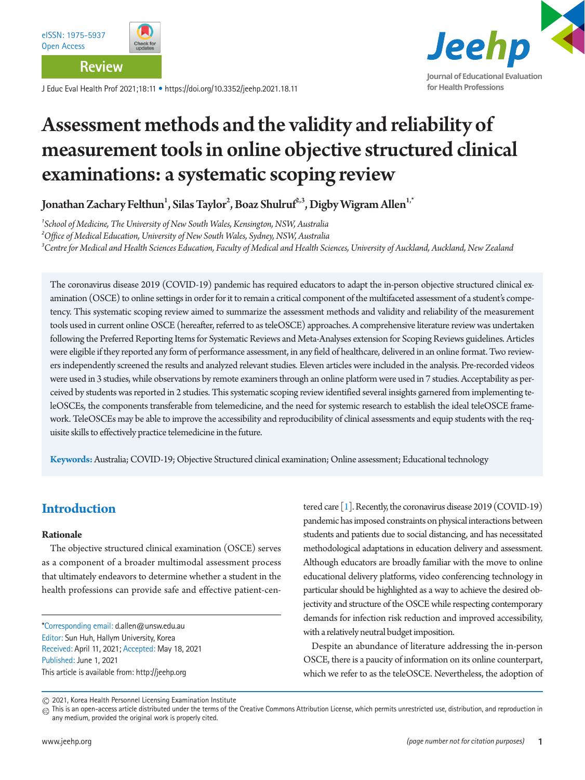**Review**

J Educ Eval Health Prof 2021;18:11 • https://doi.org/10.3352/jeehp.2021.18.11



# Assessment methods and the validity and reliability of measurement tools in online objective structured clinical examinations: a systematic scoping review

Jonathan Zachary Felthun $^1$ , Silas Taylor $^2$ , Boaz Shulruf $^{2,3}$ , Digby Wigram Allen $^{1,^\ast}$ 

*1 School of Medicine, The University of New South Wales, Kensington, NSW, Australia 2 Office of Medical Education, University of New South Wales, Sydney, NSW, Australia*  <sup>3</sup>Centre for Medical and Health Sciences Education, Faculty of Medical and Health Sciences, University of Auckland, Auckland, New Zealand

The coronavirus disease 2019 (COVID-19) pandemic has required educators to adapt the in-person objective structured clinical examination (OSCE) to online settings in order for it to remain a critical component of the multifaceted assessment of a student's competency. This systematic scoping review aimed to summarize the assessment methods and validity and reliability of the measurement tools used in current online OSCE (hereafter, referred to as teleOSCE) approaches. A comprehensive literature review was undertaken following the Preferred Reporting Items for Systematic Reviews and Meta-Analyses extension for Scoping Reviews guidelines. Articles were eligible if they reported any form of performance assessment, in any field of healthcare, delivered in an online format. Two reviewers independently screened the results and analyzed relevant studies. Eleven articles were included in the analysis. Pre-recorded videos were used in 3 studies, while observations by remote examiners through an online platform were used in 7 studies. Acceptability as perceived by students was reported in 2 studies. This systematic scoping review identified several insights garnered from implementing teleOSCEs, the components transferable from telemedicine, and the need for systemic research to establish the ideal teleOSCE framework. TeleOSCEs may be able to improve the accessibility and reproducibility of clinical assessments and equip students with the requisite skills to effectively practice telemedicine in the future.

**Keywords:** Australia; COVID-19; Objective Structured clinical examination; Online assessment; Educational technology

# **Introduction**

#### **Rationale**

The objective structured clinical examination (OSCE) serves as a component of a broader multimodal assessment process that ultimately endeavors to determine whether a student in the health professions can provide safe and effective patient-cen-

\*Corresponding email: d.allen@unsw.edu.au Editor: Sun Huh, Hallym University, Korea Received: April 11, 2021; Accepted: May 18, 2021 Published: June 1, 2021 This article is available from: http://jeehp.org

tered care  $\lceil 1 \rceil$ . Recently, the coronavirus disease 2019 (COVID-19) pandemic has imposed constraints on physical interactions between students and patients due to social distancing, and has necessitated methodological adaptations in education delivery and assessment. Although educators are broadly familiar with the move to online educational delivery platforms, video conferencing technology in particular should be highlighted as a way to achieve the desired objectivity and structure of the OSCE while respecting contemporary demands for infection risk reduction and improved accessibility, with a relatively neutral budget imposition.

Despite an abundance of literature addressing the in-person OSCE, there is a paucity of information on its online counterpart, which we refer to as the teleOSCE. Nevertheless, the adoption of

<sup>2021,</sup> Korea Health Personnel Licensing Examination Institute

 $_{\textcircled{c}}$  This is an open-access article distributed under the terms of the Creative Commons Attribution License, which permits unrestricted use, distribution, and reproduction in any medium, provided the original work is properly cited.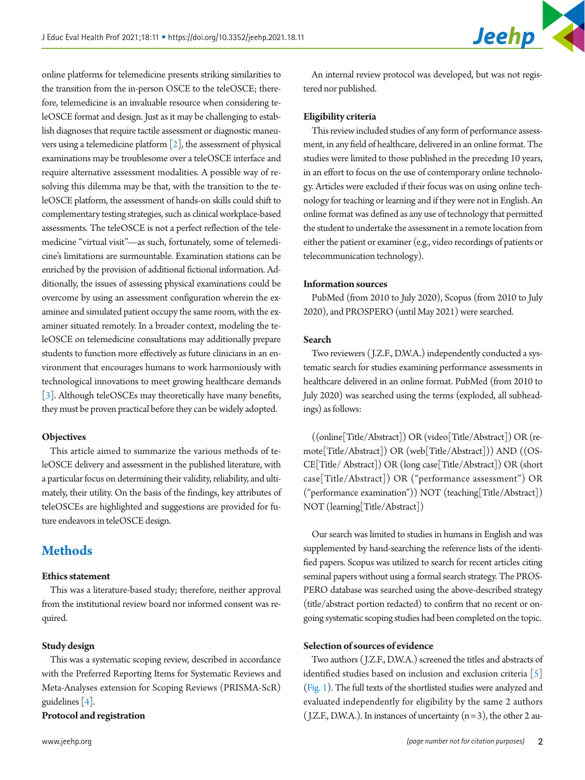online platforms for telemedicine presents striking similarities to the transition from the in-person OSCE to the teleOSCE; therefore, telemedicine is an invaluable resource when considering teleOSCE format and design. Just as it may be challenging to establish diagnoses that require tactile assessment or diagnostic maneuvers using a telemedicine platform  $\lceil 2 \rceil$ , the assessment of physical examinations may be troublesome over a teleOSCE interface and require alternative assessment modalities. A possible way of resolving this dilemma may be that, with the transition to the teleOSCE platform, the assessment of hands-on skills could shift to complementary testing strategies, such as clinical workplace-based assessments. The teleOSCE is not a perfect reflection of the telemedicine "virtual visit"—as such, fortunately, some of telemedicine's limitations are surmountable. Examination stations can be enriched by the provision of additional fictional information. Additionally, the issues of assessing physical examinations could be overcome by using an assessment configuration wherein the examinee and simulated patient occupy the same room, with the examiner situated remotely. In a broader context, modeling the teleOSCE on telemedicine consultations may additionally prepare students to function more effectively as future clinicians in an environment that encourages humans to work harmoniously with technological innovations to meet growing healthcare demands [\[3](#page-5-2)]. Although teleOSCEs may theoretically have many benefits, they must be proven practical before they can be widely adopted.

#### **Objectives**

This article aimed to summarize the various methods of teleOSCE delivery and assessment in the published literature, with a particular focus on determining their validity, reliability, and ultimately, their utility. On the basis of the findings, key attributes of teleOSCEs are highlighted and suggestions are provided for future endeavors in teleOSCE design.

## **Methods**

#### **Ethics statement**

This was a literature-based study; therefore, neither approval from the institutional review board nor informed consent was required.

#### **Study design**

This was a systematic scoping review, described in accordance with the Preferred Reporting Items for Systematic Reviews and Meta-Analyses extension for Scoping Reviews (PRISMA-ScR) guidelines [\[4\]](#page-5-3).

#### **Protocol and registration**

An internal review protocol was developed, but was not registered nor published.

Jeehp

#### **Eligibility criteria**

This review included studies of any form of performance assessment, in any field of healthcare, delivered in an online format. The studies were limited to those published in the preceding 10 years, in an effort to focus on the use of contemporary online technology. Articles were excluded if their focus was on using online technology for teaching or learning and if they were not in English. An online format was defined as any use of technology that permitted the student to undertake the assessment in a remote location from either the patient or examiner (e.g., video recordings of patients or telecommunication technology).

#### **Information sources**

PubMed (from 2010 to July 2020), Scopus (from 2010 to July 2020), and PROSPERO (until May 2021) were searched.

#### **Search**

Two reviewers (J.Z.F., D.W.A.) independently conducted a systematic search for studies examining performance assessments in healthcare delivered in an online format. PubMed (from 2010 to July 2020) was searched using the terms (exploded, all subheadings) as follows:

((online[Title/Abstract]) OR (video[Title/Abstract]) OR (remote[Title/Abstract]) OR (web[Title/Abstract])) AND ((OS-CE[Title/ Abstract]) OR (long case[Title/Abstract]) OR (short case[Title/Abstract]) OR ("performance assessment") OR ("performance examination")) NOT (teaching[Title/Abstract]) NOT (learning[Title/Abstract])

Our search was limited to studies in humans in English and was supplemented by hand-searching the reference lists of the identified papers. Scopus was utilized to search for recent articles citing seminal papers without using a formal search strategy. The PROS-PERO database was searched using the above-described strategy (title/abstract portion redacted) to confirm that no recent or ongoing systematic scoping studies had been completed on the topic.

#### **Selection of sources of evidence**

Two authors (J.Z.F., D.W.A.) screened the titles and abstracts of identified studies based on inclusion and exclusion criteria [\[5\]](#page-5-4) [\(Fig. 1](#page-2-0)). The full texts of the shortlisted studies were analyzed and evaluated independently for eligibility by the same 2 authors (J.Z.F., D.W.A.). In instances of uncertainty  $(n=3)$ , the other 2 au-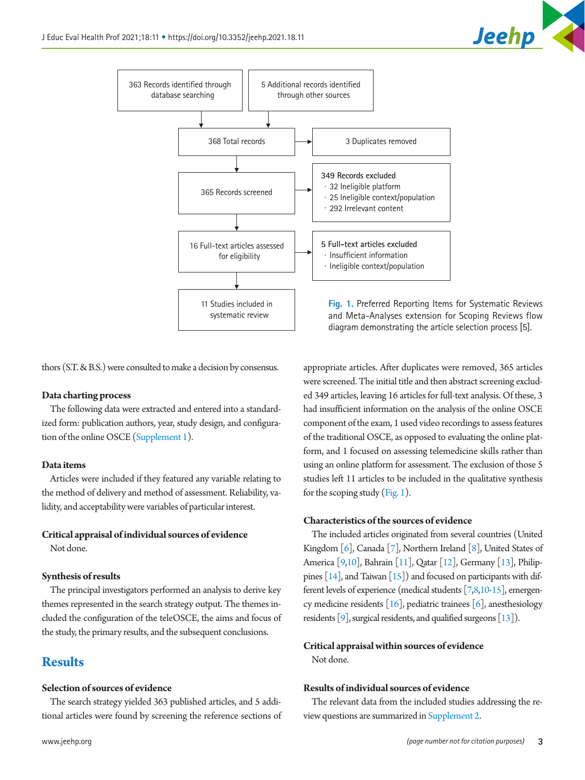

<span id="page-2-0"></span>

thors (S.T. & B.S.) were consulted to make a decision by consensus.

#### **Data charting process**

The following data were extracted and entered into a standardized form: publication authors, year, study design, and configuration of the online OSCE [\(Supplement 1\)](#page-5-5).

#### **Data items**

Articles were included if they featured any variable relating to the method of delivery and method of assessment. Reliability, validity, and acceptability were variables of particular interest.

#### **Critical appraisal of individual sources of evidence**

Not done.

#### **Synthesis of results**

The principal investigators performed an analysis to derive key themes represented in the search strategy output. The themes included the configuration of the teleOSCE, the aims and focus of the study, the primary results, and the subsequent conclusions.

# **Results**

#### **Selection of sources of evidence**

The search strategy yielded 363 published articles, and 5 additional articles were found by screening the reference sections of

appropriate articles. After duplicates were removed, 365 articles were screened. The initial title and then abstract screening excluded 349 articles, leaving 16 articles for full-text analysis. Of these, 3 had insufficient information on the analysis of the online OSCE component of the exam, 1 used video recordings to assess features of the traditional OSCE, as opposed to evaluating the online platform, and 1 focused on assessing telemedicine skills rather than using an online platform for assessment. The exclusion of those 5 studies left 11 articles to be included in the qualitative synthesis for the scoping study [\(Fig. 1](#page-2-0)).

### **Characteristics of the sources of evidence**

The included articles originated from several countries (United Kingdom  $[6]$  $[6]$ , Canada  $[7]$  $[7]$ , Northern Ireland  $[8]$  $[8]$ , United States of America [[9](#page-5-8)[,10\]](#page-5-9), Bahrain [\[11\]](#page-5-10), Qatar [\[12\]](#page-5-10), Germany [\[13](#page-5-10)], Philippines  $[14]$ , and Taiwan  $[15]$ ) and focused on participants with different levels of experience (medical students [\[7](#page-5-3)[,8](#page-5-7)[,10](#page-5-9)[-15](#page-5-11)], emergency medicine residents  $[16]$  $[16]$ , pediatric trainees  $[6]$  $[6]$ , anesthesiology residents [\[9](#page-5-8)], surgical residents, and qualified surgeons [\[13\]](#page-5-10)).

#### **Critical appraisal within sources of evidence**

Not done.

#### **Results of individual sources of evidence**

The relevant data from the included studies addressing the review questions are summarized in [Supplement 2](#page-5-5).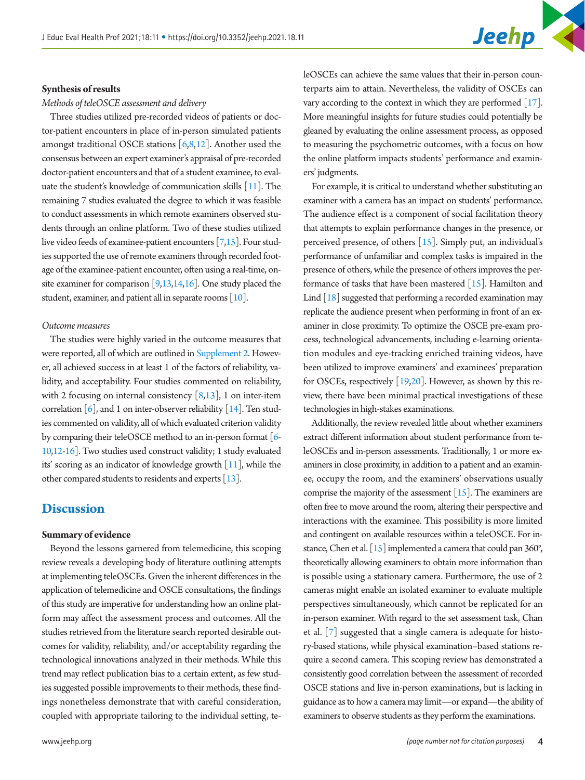#### **Synthesis of results**

#### *Methods of teleOSCE assessment and delivery*

Three studies utilized pre-recorded videos of patients or doctor-patient encounters in place of in-person simulated patients amongst traditional OSCE stations  $[6,8,12]$  $[6,8,12]$  $[6,8,12]$  $[6,8,12]$ . Another used the consensus between an expert examiner's appraisal of pre-recorded doctor-patient encounters and that of a student examinee, to evaluate the student's knowledge of communication skills [\[11](#page-5-10)]. The remaining 7 studies evaluated the degree to which it was feasible to conduct assessments in which remote examiners observed students through an online platform. Two of these studies utilized live video feeds of examinee-patient encounters [[7](#page-5-3)[,15\]](#page-5-11). Four studies supported the use of remote examiners through recorded footage of the examinee-patient encounter, often using a real-time, onsite examiner for comparison [\[9](#page-5-8)[,13,14](#page-5-10)[,16](#page-5-12)]. One study placed the student, examiner, and patient all in separate rooms [\[10\]](#page-5-9).

#### *Outcome measures*

The studies were highly varied in the outcome measures that were reported, all of which are outlined in [Supplement 2](#page-5-5). However, all achieved success in at least 1 of the factors of reliability, validity, and acceptability. Four studies commented on reliability, with 2 focusing on internal consistency  $[8,13]$  $[8,13]$ , 1 on inter-item correlation  $[6]$ , and 1 on inter-observer reliability  $[14]$ . Ten studies commented on validity, all of which evaluated criterion validity by comparing their teleOSCE method to an in-person format [[6](#page-5-6)- [10](#page-5-9)[,12](#page-5-10)[-16\]](#page-5-12). Two studies used construct validity; 1 study evaluated its' scoring as an indicator of knowledge growth [\[11](#page-5-10)], while the other compared students to residents and experts [\[13](#page-5-10)].

### **Discussion**

#### **Summary of evidence**

Beyond the lessons garnered from telemedicine, this scoping review reveals a developing body of literature outlining attempts at implementing teleOSCEs. Given the inherent differences in the application of telemedicine and OSCE consultations, the findings of this study are imperative for understanding how an online platform may affect the assessment process and outcomes. All the studies retrieved from the literature search reported desirable outcomes for validity, reliability, and/or acceptability regarding the technological innovations analyzed in their methods. While this trend may reflect publication bias to a certain extent, as few studies suggested possible improvements to their methods, these findings nonetheless demonstrate that with careful consideration, coupled with appropriate tailoring to the individual setting, teleOSCEs can achieve the same values that their in-person counterparts aim to attain. Nevertheless, the validity of OSCEs can vary according to the context in which they are performed [\[17\]](#page-6-0). More meaningful insights for future studies could potentially be gleaned by evaluating the online assessment process, as opposed to measuring the psychometric outcomes, with a focus on how the online platform impacts students' performance and examiners' judgments.

For example, it is critical to understand whether substituting an examiner with a camera has an impact on students' performance. The audience effect is a component of social facilitation theory that attempts to explain performance changes in the presence, or perceived presence, of others [15]. Simply put, an individual's performance of unfamiliar and complex tasks is impaired in the presence of others, while the presence of others improves the performance of tasks that have been mastered [15]. Hamilton and Lind [\[18](#page-6-1)] suggested that performing a recorded examination may replicate the audience present when performing in front of an examiner in close proximity. To optimize the OSCE pre-exam process, technological advancements, including e-learning orientation modules and eye-tracking enriched training videos, have been utilized to improve examiners' and examinees' preparation for OSCEs, respectively [\[19](#page-6-2)[,20](#page-6-3)]. However, as shown by this review, there have been minimal practical investigations of these technologies in high-stakes examinations.

Additionally, the review revealed little about whether examiners extract different information about student performance from teleOSCEs and in-person assessments. Traditionally, 1 or more examiners in close proximity, in addition to a patient and an examinee, occupy the room, and the examiners' observations usually comprise the majority of the assessment  $[15]$ . The examiners are often free to move around the room, altering their perspective and interactions with the examinee. This possibility is more limited and contingent on available resources within a teleOSCE. For instance, Chen et al. [15] implemented a camera that could pan 360°, theoretically allowing examiners to obtain more information than is possible using a stationary camera. Furthermore, the use of 2 cameras might enable an isolated examiner to evaluate multiple perspectives simultaneously, which cannot be replicated for an in-person examiner. With regard to the set assessment task, Chan et al. [7] suggested that a single camera is adequate for history-based stations, while physical examination–based stations require a second camera. This scoping review has demonstrated a consistently good correlation between the assessment of recorded OSCE stations and live in-person examinations, but is lacking in guidance as to how a camera may limit—or expand—the ability of examiners to observe students as they perform the examinations.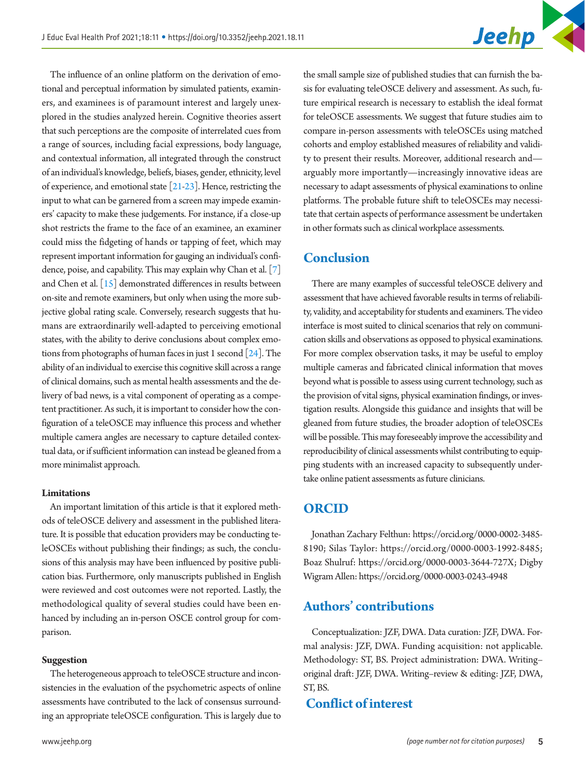The influence of an online platform on the derivation of emotional and perceptual information by simulated patients, examiners, and examinees is of paramount interest and largely unexplored in the studies analyzed herein. Cognitive theories assert that such perceptions are the composite of interrelated cues from a range of sources, including facial expressions, body language, and contextual information, all integrated through the construct of an individual's knowledge, beliefs, biases, gender, ethnicity, level of experience, and emotional state [\[21](#page-6-4)[-23\]](#page-6-5). Hence, restricting the input to what can be garnered from a screen may impede examiners' capacity to make these judgements. For instance, if a close-up shot restricts the frame to the face of an examinee, an examiner could miss the fidgeting of hands or tapping of feet, which may represent important information for gauging an individual's confidence, poise, and capability. This may explain why Chan et al. [7] and Chen et al. [15] demonstrated differences in results between on-site and remote examiners, but only when using the more subjective global rating scale. Conversely, research suggests that humans are extraordinarily well-adapted to perceiving emotional states, with the ability to derive conclusions about complex emotions from photographs of human faces in just 1 second [\[24\]](#page-6-6). The ability of an individual to exercise this cognitive skill across a range of clinical domains, such as mental health assessments and the delivery of bad news, is a vital component of operating as a competent practitioner. As such, it is important to consider how the configuration of a teleOSCE may influence this process and whether multiple camera angles are necessary to capture detailed contextual data, or if sufficient information can instead be gleaned from a more minimalist approach.

#### **Limitations**

An important limitation of this article is that it explored methods of teleOSCE delivery and assessment in the published literature. It is possible that education providers may be conducting teleOSCEs without publishing their findings; as such, the conclusions of this analysis may have been influenced by positive publication bias. Furthermore, only manuscripts published in English were reviewed and cost outcomes were not reported. Lastly, the methodological quality of several studies could have been enhanced by including an in-person OSCE control group for comparison.

#### **Suggestion**

The heterogeneous approach to teleOSCE structure and inconsistencies in the evaluation of the psychometric aspects of online assessments have contributed to the lack of consensus surrounding an appropriate teleOSCE configuration. This is largely due to

the small sample size of published studies that can furnish the basis for evaluating teleOSCE delivery and assessment. As such, future empirical research is necessary to establish the ideal format for teleOSCE assessments. We suggest that future studies aim to compare in-person assessments with teleOSCEs using matched cohorts and employ established measures of reliability and validity to present their results. Moreover, additional research and arguably more importantly—increasingly innovative ideas are necessary to adapt assessments of physical examinations to online platforms. The probable future shift to teleOSCEs may necessitate that certain aspects of performance assessment be undertaken in other formats such as clinical workplace assessments.

### **Conclusion**

There are many examples of successful teleOSCE delivery and assessment that have achieved favorable results in terms of reliability, validity, and acceptability for students and examiners. The video interface is most suited to clinical scenarios that rely on communication skills and observations as opposed to physical examinations. For more complex observation tasks, it may be useful to employ multiple cameras and fabricated clinical information that moves beyond what is possible to assess using current technology, such as the provision of vital signs, physical examination findings, or investigation results. Alongside this guidance and insights that will be gleaned from future studies, the broader adoption of teleOSCEs will be possible. This may foreseeably improve the accessibility and reproducibility of clinical assessments whilst contributing to equipping students with an increased capacity to subsequently undertake online patient assessments as future clinicians.

### **ORCID**

Jonathan Zachary Felthun: [https://orcid.org/0000-0002-3485-](http://orcid.org/0000-0002-3485-8190) [819](http://orcid.org/0000-0002-3485-8190)0; Silas Taylor: [https://orcid.org/0000-0003-1992-8485](http://orcid.org/0000-0003-1992-8485); Boaz Shulruf: [https://orcid.org/0000-0003-3644-727X](http://orcid.org/0000-0003-3644-727X); Digby Wigram Allen: [https://orcid.org/0000-0003-0243-494](http://orcid.org/0000-0003-0243-4948)8

### **Authors' contributions**

Conceptualization: JZF, DWA. Data curation: JZF, DWA. Formal analysis: JZF, DWA. Funding acquisition: not applicable. Methodology: ST, BS. Project administration: DWA. Writing– original draft: JZF, DWA. Writing–review & editing: JZF, DWA, ST, BS.

### **Conflict of interest**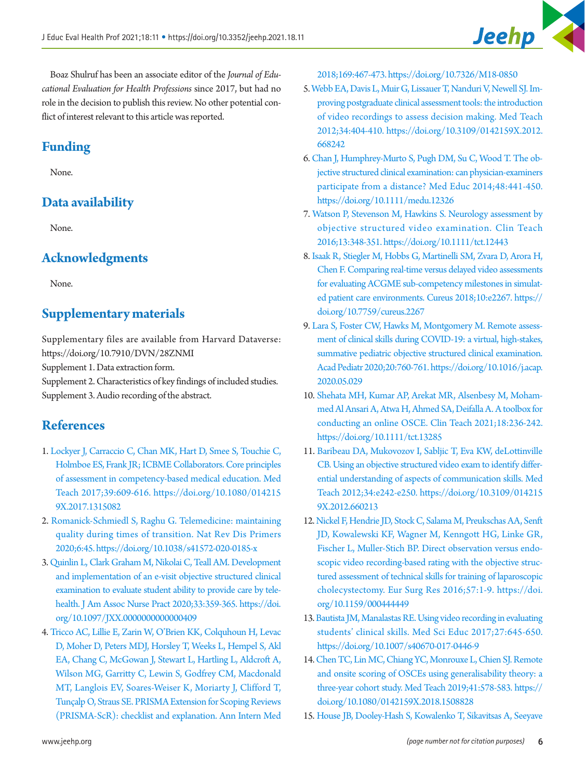Boaz Shulruf has been an associate editor of the *Journal of Educational Evaluation for Health Professions* since 2017, but had no role in the decision to publish this review. No other potential conflict of interest relevant to this article was reported.

# **Funding**

None.

# **Data availability**

None.

# **Acknowledgments**

None.

# <span id="page-5-5"></span>**Supplementary materials**

Supplementary files are available from Harvard Dataverse: https://doi.org/10.7910/DVN/28ZNMI

Supplement 1. Data extraction form.

Supplement 2. Characteristics of key findings of included studies. Supplement 3. Audio recording of the abstract.

# <span id="page-5-0"></span>**References**

- 1. [Lockyer J, Carraccio C, Chan MK, Hart D, Smee S, Touchie C,](https://doi.org/10.1080/0142159X.2017.1315082)  [Holmboe ES, Frank JR; ICBME Collaborators. Core principles](https://doi.org/10.1080/0142159X.2017.1315082)  [of assessment in competency-based medical education. Med](https://doi.org/10.1080/0142159X.2017.1315082)  [Teach 2017;39:609-616. https://doi.org/10.1080/014215](https://doi.org/10.1080/0142159X.2017.1315082) [9X.2017.1315082](https://doi.org/10.1080/0142159X.2017.1315082)
- <span id="page-5-1"></span>2. [Romanick-Schmiedl S, Raghu G. Telemedicine: maintaining](https://doi.org/10.1038/s41572-020-0185-x)  [quality during times of transition. Nat Rev Dis Primers](https://doi.org/10.1038/s41572-020-0185-x)  [2020;6:45. https://doi.org/10.1038/s41572-020-0185-x](https://doi.org/10.1038/s41572-020-0185-x)
- <span id="page-5-2"></span>[3. Quinlin L, Clark Graham M, Nikolai C, Teall AM. Development](https://doi.org/10.1097/JXX.0000000000000409)  [and implementation of an e-visit objective structured clinical](https://doi.org/10.1097/JXX.0000000000000409)  [examination to evaluate student ability to provide care by tele](https://doi.org/10.1097/JXX.0000000000000409)[health. J Am Assoc Nurse Pract 2020;33:359-365. https://doi.](https://doi.org/10.1097/JXX.0000000000000409) [org/10.1097/JXX.](https://doi.org/10.1097/JXX.0000000000000409)0000000000000409
- <span id="page-5-7"></span><span id="page-5-6"></span><span id="page-5-3"></span>4. Tricco AC, Lillie E, Zarin W, O'Brien KK, Colquhoun H, Levac D, Moher D, Peters MDJ, Horsl[ey T, Weeks L, Hempel S, Akl](https://doi.org/10.7326/M18-0850)  [EA, Chang C, McGowan J, Stewart L, Hartling L, Aldcroft A,](https://doi.org/10.7326/M18-0850)  [Wilson MG, Garritty C, Lewin S, Godfrey CM, Macdonald](https://doi.org/10.7326/M18-0850) [MT, Langlois EV, Soares-Weiser K,](https://doi.org/10.7326/M18-0850) Moriarty J, Clifford T, Tunçalp O, Straus SE. PRISMA Extension for Scoping Reviews (PRISMA-ScR): checklist and explanation. Ann Intern Med

2018;169:467-473. https://doi.org/10.7326/M18-0850

- <span id="page-5-4"></span>5[. Webb EA, Davis L, Muir G, Lissauer T, Nanduri V, Newell SJ. Im](https://doi.org/10.3109/0142159X.2012.668242)[proving postgraduate clinical assessment tools: the introduction](https://doi.org/10.3109/0142159X.2012.668242)  [of video recordings to assess decision making. Med Teach](https://doi.org/10.3109/0142159X.2012.668242)  [2012;34:404-410. https://doi.org/10.3109/0142159X.2012.](https://doi.org/10.3109/0142159X.2012.668242) [668242](https://doi.org/10.3109/0142159X.2012.668242)
- <span id="page-5-8"></span>6. Chan J, Humphr[ey-Murto S, Pugh DM, Su C, Wood T. The ob](https://doi.org/10.1111/medu.12326)[jective structured clinical examination: can physician-examiners](https://doi.org/10.1111/medu.12326)  [participate from a distance? Med Educ 2014;48:441-450.](https://doi.org/10.1111/medu.12326)  <https://doi.org/10.1111/medu.12326>
- <span id="page-5-9"></span>7. Watson P, Ste[venson M, Hawkins S. Neurology assessment by](https://doi.org/10.1111/tct.12443)  [objective structured video examination. Clin Teach](https://doi.org/10.1111/tct.12443)  [2016;13:348-351. https://doi.org/10.1111/tct.12443](https://doi.org/10.1111/tct.12443)
- 8. [Isaak R, Stiegler M, Hobbs G, Martinelli SM, Zvara D, Arora H,](https://doi.org/10.7759/cureus.2267)  [Chen F. Comparing real-time versus delayed video assessments](https://doi.org/10.7759/cureus.2267)  [for evaluating ACGME sub-competency milestones in simulat](https://doi.org/10.7759/cureus.2267)[ed patient care environments. Cureus 2018;10:e2267. https://](https://doi.org/10.7759/cureus.2267) [doi.org/10.7759/c](https://doi.org/10.7759/cureus.2267)ureus.2267
- 9. [Lara S, Foster CW, Hawks M, Montgomery M. Remote assess](https://doi.org/10.1016/j.acap.2020.05.029)[ment of clinical skills during COVID-19: a virtual, high-stakes,](https://doi.org/10.1016/j.acap.2020.05.029)  [summative pediatric objective structured clinical examination.](https://doi.org/10.1016/j.acap.2020.05.029)  [Acad Pediatr 2020;20:760-761. https://doi.org/10.1016/j.acap.](https://doi.org/10.1016/j.acap.2020.05.029) [2020.05.029](https://doi.org/10.1016/j.acap.2020.05.029)
- 10. [Shehata MH, Kumar AP, Arekat MR, Alsenbesy M, Moham](https://doi.org/10.1111/tct.13285)[med Al Ansari A, Atwa H, Ahmed SA, Deifalla A. A toolbox for](https://doi.org/10.1111/tct.13285)  [conducting an online OSCE. Clin Teach 2021;18:236-242.](https://doi.org/10.1111/tct.13285)  <https://doi.org/10.1111/tct.13285>
- <span id="page-5-10"></span>11. Baribeau DA, Mukovozov I, Sabljic T, Eva KW, deLottinville CB. Using an objective structured video exam to identify differential understanding of aspects of communication skills. Med [Teach 2012;34:e242-e250. https://doi.org/10.3109/014215](https://doi.org/10.3109/0142159X.2012.660213) [9X.2012.660213](https://doi.org/10.3109/0142159X.2012.660213)
- <span id="page-5-11"></span>12. Nickel F, Hendrie JD, Stock C, Salama M, Preukschas AA, Senft JD, Kowale[wski KF, Wagner M, Kenngott HG, Linke GR,](https://doi.org/10.1159/000444449)  [Fischer L, Muller-Stich BP. Direct observation versus endo](https://doi.org/10.1159/000444449)[scopic video recording-based rating with the objective struc](https://doi.org/10.1159/000444449)[tured assessment of technical](https://doi.org/10.1159/000444449) skills for training of laparoscopic cholecystectomy. Eur Surg Res 2016;57:1-9. https://doi. org/10.1159/000444449
- <span id="page-5-12"></span>13. Bautista JM, Manalastas RE. Using video reco[rding in evaluating](https://doi.org/10.1007/s40670-017-0446-9)  [students' clinical skills. Med Sci Educ 2017;27:645-650.](https://doi.org/10.1007/s40670-017-0446-9)  <https://doi.org/10.1007/s40670-017-0446-9>
- 14. [Chen TC, Lin MC, Chiang YC, Monrouxe L, Chien SJ. Remote](https://doi.org/10.1080/0142159X.2018.1508828)  [and onsite scoring of OSCEs using generalisability theory: a](https://doi.org/10.1080/0142159X.2018.1508828)  [three-year cohort study. Med Teach 2019;41:578-583. https://](https://doi.org/10.1080/0142159X.2018.1508828) [doi.org/10.1080/0142159X.2018.1508828](https://doi.org/10.1080/0142159X.2018.1508828)
- 15. [House JB, Dooley-Hash S, Kowalenko T, Sikavitsas A, Seeyave](https://doi.org/10.4300/JGME-D-11-00123.1)